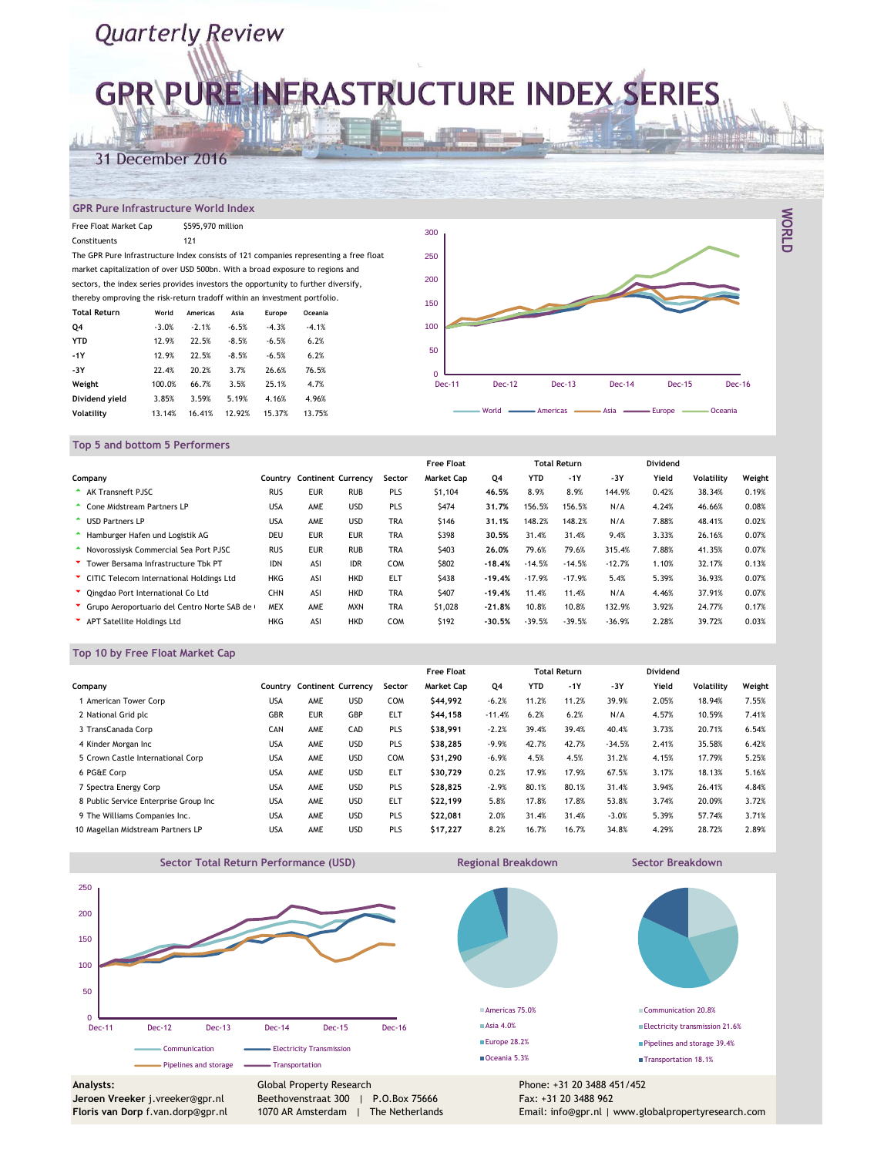# **GRR\PURE INFRASTRUCTURE INDEX SERIES**

### 31 December 2016

#### **GPR Pure Infrastructure World Index**

| Free Float Market Cap                                                         |         | \$595,970 million |         |         |                                                                                       | 300           |               |            |
|-------------------------------------------------------------------------------|---------|-------------------|---------|---------|---------------------------------------------------------------------------------------|---------------|---------------|------------|
| Constituents                                                                  |         | 121               |         |         |                                                                                       |               |               |            |
|                                                                               |         |                   |         |         | The GPR Pure Infrastructure Index consists of 121 companies representing a free float | 250           |               |            |
| market capitalization of over USD 500bn. With a broad exposure to regions and |         |                   |         |         |                                                                                       |               |               |            |
|                                                                               |         |                   |         |         | sectors, the index series provides investors the opportunity to further diversify,    | 200           |               |            |
| thereby omproving the risk-return tradoff within an investment portfolio.     |         |                   |         |         |                                                                                       | 150           |               |            |
| <b>Total Return</b>                                                           | World   | Americas          | Asia    | Europe  | Oceania                                                                               |               |               |            |
| Q4                                                                            | $-3.0%$ | $-2.1%$           | $-6.5%$ | $-4.3%$ | $-4.1%$                                                                               | 100           |               |            |
| <b>YTD</b>                                                                    | 12.9%   | 22.5%             | $-8.5%$ | $-6.5%$ | 6.2%                                                                                  |               |               |            |
| $-1Y$                                                                         | 12.9%   | 22.5%             | $-8.5%$ | $-6.5%$ | 6.2%                                                                                  | 50            |               |            |
| -3Y                                                                           | 22.4%   | 20.2%             | 3.7%    | 26.6%   | 76.5%                                                                                 | O             |               |            |
| Weight                                                                        | 100.0%  | 66.7%             | 3.5%    | 25.1%   | 4.7%                                                                                  | <b>Dec-11</b> | <b>Dec-12</b> | Dec-1      |
| Dividend vield                                                                | 3.85%   | 3.59%             | 5.19%   | 4.16%   | 4.96%                                                                                 |               |               |            |
| Volatility                                                                    | 13.14%  | 16.41%            | 12.92%  | 15.37%  | 13.75%                                                                                |               | World         | • Americas |



**WORLD**

#### **Top 5 and bottom 5 Performers**

|                                             |            |            |                           |            | <b>Free Float</b> |          |            | <b>Total Return</b> |          | <b>Dividend</b> |            |        |
|---------------------------------------------|------------|------------|---------------------------|------------|-------------------|----------|------------|---------------------|----------|-----------------|------------|--------|
| Company                                     | Countrv    |            | <b>Continent Currency</b> | Sector     | <b>Market Cap</b> | Q4       | <b>YTD</b> | $-1Y$               | $-3Y$    | Yield           | Volatility | Weight |
| AK Transneft PJSC                           | <b>RUS</b> | <b>EUR</b> | <b>RUB</b>                | PLS        | \$1,104           | 46.5%    | 8.9%       | 8.9%                | 144.9%   | 0.42%           | 38.34%     | 0.19%  |
| Cone Midstream Partners LP                  | <b>USA</b> | AME        | <b>USD</b>                | PLS        | \$474             | 31.7%    | 156.5%     | 156.5%              | N/A      | 4.24%           | 46.66%     | 0.08%  |
| <b>USD Partners LP</b>                      | <b>USA</b> | AME        | <b>USD</b>                | <b>TRA</b> | \$146             | 31.1%    | 148.2%     | 148.2%              | N/A      | 7.88%           | 48.41%     | 0.02%  |
| Hamburger Hafen und Logistik AG             | <b>DEU</b> | <b>EUR</b> | <b>EUR</b>                | <b>TRA</b> | \$398             | 30.5%    | 31.4%      | 31.4%               | 9.4%     | 3.33%           | 26.16%     | 0.07%  |
| Novorossiysk Commercial Sea Port PJSC       | <b>RUS</b> | <b>EUR</b> | <b>RUB</b>                | <b>TRA</b> | \$403             | 26.0%    | 79.6%      | 79.6%               | 315.4%   | 7.88%           | 41.35%     | 0.07%  |
| Tower Bersama Infrastructure Tbk PT         | <b>IDN</b> | ASI        | <b>IDR</b>                | <b>COM</b> | \$802             | $-18.4%$ | $-14.5%$   | $-14.5%$            | $-12.7%$ | 1.10%           | 32.17%     | 0.13%  |
| CITIC Telecom International Holdings Ltd    | <b>HKG</b> | ASI        | <b>HKD</b>                | <b>ELT</b> | \$438             | $-19.4%$ | $-17.9%$   | $-17.9%$            | 5.4%     | 5.39%           | 36.93%     | 0.07%  |
| Cingdao Port International Co Ltd           | CHN        | ASI        | <b>HKD</b>                | <b>TRA</b> | \$407             | $-19.4%$ | 11.4%      | 11.4%               | N/A      | 4.46%           | 37.91%     | 0.07%  |
| Crupo Aeroportuario del Centro Norte SAB de | <b>MEX</b> | AME        | <b>MXN</b>                | <b>TRA</b> | \$1,028           | $-21.8%$ | 10.8%      | 10.8%               | 132.9%   | 3.92%           | 24.77%     | 0.17%  |
| APT Satellite Holdings Ltd                  | <b>HKG</b> | ASI        | <b>HKD</b>                | <b>COM</b> | \$192             | $-30.5%$ | $-39.5%$   | $-39.5%$            | $-36.9%$ | 2.28%           | 39.72%     | 0.03%  |

#### **Top 10 by Free Float Market Cap**

|                                       |            |                           |            |            | <b>Free Float</b> |          |            | <b>Total Return</b> |          | Dividend |            |        |
|---------------------------------------|------------|---------------------------|------------|------------|-------------------|----------|------------|---------------------|----------|----------|------------|--------|
| Company                               | Country    | <b>Continent Currency</b> |            | Sector     | <b>Market Cap</b> | Q4       | <b>YTD</b> | $-1Y$               | $-3Y$    | Yield    | Volatility | Weight |
| American Tower Corp                   | <b>USA</b> | AME                       | <b>USD</b> | <b>COM</b> | \$44.992          | $-6.2%$  | 11.2%      | 11.2%               | 39.9%    | 2.05%    | 18.94%     | 7.55%  |
| 2 National Grid plc                   | GBR        | <b>EUR</b>                | GBP        | ELT        | \$44,158          | $-11.4%$ | 6.2%       | 6.2%                | N/A      | 4.57%    | 10.59%     | 7.41%  |
| 3 TransCanada Corp                    | CAN        | AME                       | CAD        | PLS        | \$38,991          | $-2.2%$  | 39.4%      | 39.4%               | 40.4%    | 3.73%    | 20.71%     | 6.54%  |
| 4 Kinder Morgan Inc                   | <b>USA</b> | AME                       | <b>USD</b> | PLS        | \$38.285          | $-9.9%$  | 42.7%      | 42.7%               | $-34.5%$ | 2.41%    | 35.58%     | 6.42%  |
| 5 Crown Castle International Corp     | <b>USA</b> | AME                       | <b>USD</b> | <b>COM</b> | \$31,290          | $-6.9%$  | 4.5%       | 4.5%                | 31.2%    | 4.15%    | 17.79%     | 5.25%  |
| 6 PG&E Corp                           | <b>USA</b> | AME                       | <b>USD</b> | ELT        | \$30.729          | 0.2%     | 17.9%      | 17.9%               | 67.5%    | 3.17%    | 18.13%     | 5.16%  |
| 7 Spectra Energy Corp                 | <b>USA</b> | AME                       | <b>USD</b> | PLS        | \$28,825          | $-2.9%$  | 80.1%      | 80.1%               | 31.4%    | 3.94%    | 26.41%     | 4.84%  |
| 8 Public Service Enterprise Group Inc | <b>USA</b> | AME                       | <b>USD</b> | <b>ELT</b> | \$22,199          | 5.8%     | 17.8%      | 17.8%               | 53.8%    | 3.74%    | 20.09%     | 3.72%  |
| 9 The Williams Companies Inc.         | <b>USA</b> | AME                       | <b>USD</b> | PLS        | \$22.081          | 2.0%     | 31.4%      | 31.4%               | $-3.0%$  | 5.39%    | 57.74%     | 3.71%  |
| 10 Magellan Midstream Partners LP     | <b>USA</b> | AME                       | <b>USD</b> | PLS        | \$17,227          | 8.2%     | 16.7%      | 16.7%               | 34.8%    | 4.29%    | 28.72%     | 2.89%  |



**Regional Breakdown Sector Breakdown**

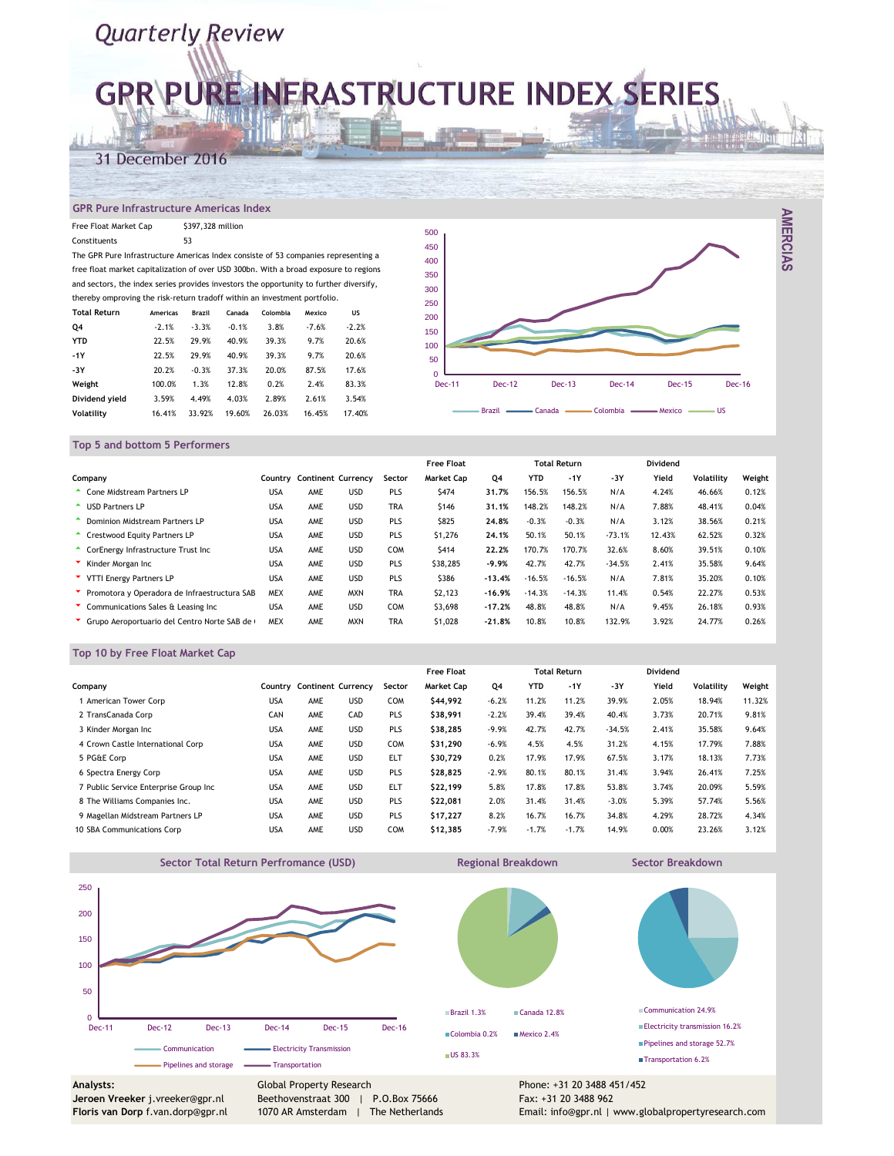# **GPR\PURE INFRASTRUCTURE INDEX SERIES**

### 31 December 2016

#### **GPR Pure Infrastructure Americas Index**

| Free Float Market Cap                                                                  |          | \$397,328 million |         |          |         |           |
|----------------------------------------------------------------------------------------|----------|-------------------|---------|----------|---------|-----------|
| Constituents                                                                           |          | 53                |         |          |         |           |
| The GPR Pure Infrastructure Americas Index consiste of 53 companies representing a     |          |                   |         |          |         |           |
| free float market capitalization of over USD 300bn. With a broad exposure to regions   |          |                   |         |          |         |           |
| and sectors, the index series provides investors the opportunity to further diversify, |          |                   |         |          |         |           |
| thereby omproving the risk-return tradoff within an investment portfolio.              |          |                   |         |          |         |           |
| <b>Total Return</b>                                                                    | Americas | <b>Brazil</b>     | Canada  | Colombia | Mexico  | <b>US</b> |
| Q4                                                                                     | $-2.1%$  | $-3.3%$           | $-0.1%$ | 3.8%     | $-7.6%$ | $-2.2%$   |
| <b>YTD</b>                                                                             | 22.5%    | 29.9%             | 40.9%   | 39.3%    | 9.7%    | 20.6%     |
| $-1Y$                                                                                  | 22.5%    | 29.9%             | 40.9%   | 39.3%    | 9.7%    | 20.6%     |
| -3Y                                                                                    | 20.2%    | $-0.3%$           | 37.3%   | 20.0%    | 87.5%   | 17.6%     |
| Weight                                                                                 | 100.0%   | 1.3%              | 12.8%   | 0.2%     | 2.4%    | 83.3%     |
| Dividend vield                                                                         | 3.59%    | 4.49%             | 4.03%   | 2.89%    | 2.61%   | 3.54%     |

**Volatility** 16.41% 33.92% 19.60% 26.03% 16.45% 17.40%



#### **Top 5 and bottom 5 Performers**

|                                              |            |     |                            |            | <b>Free Float</b> |          |            | <b>Total Return</b> |          | Dividend |                   |        |
|----------------------------------------------|------------|-----|----------------------------|------------|-------------------|----------|------------|---------------------|----------|----------|-------------------|--------|
| Company                                      |            |     | Country Continent Currency | Sector     | <b>Market Cap</b> | Q4       | <b>YTD</b> | $-1Y$               | $-3Y$    | Yield    | <b>Volatility</b> | Weight |
| Cone Midstream Partners LP                   | <b>USA</b> | AME | <b>USD</b>                 | PLS        | \$474             | 31.7%    | 156.5%     | 156.5%              | N/A      | 4.24%    | 46.66%            | 0.12%  |
| <b>USD Partners LP</b>                       | <b>USA</b> | AME | <b>USD</b>                 | <b>TRA</b> | \$146             | 31.1%    | 148.2%     | 148.2%              | N/A      | 7.88%    | 48.41%            | 0.04%  |
| <b>Dominion Midstream Partners LP</b>        | <b>USA</b> | AME | <b>USD</b>                 | PLS        | \$825             | 24.8%    | $-0.3%$    | $-0.3%$             | N/A      | 3.12%    | 38.56%            | 0.21%  |
| <b>Crestwood Equity Partners LP</b>          | <b>USA</b> | AME | <b>USD</b>                 | PLS        | \$1,276           | 24.1%    | 50.1%      | 50.1%               | $-73.1%$ | 12.43%   | 62.52%            | 0.32%  |
| CorEnergy Infrastructure Trust Inc           | <b>USA</b> | AME | <b>USD</b>                 | <b>COM</b> | <b>S414</b>       | 22.2%    | 170.7%     | 170.7%              | 32.6%    | 8.60%    | 39.51%            | 0.10%  |
| Kinder Morgan Inc                            | <b>USA</b> | AME | <b>USD</b>                 | PLS        | \$38,285          | $-9.9%$  | 42.7%      | 42.7%               | $-34.5%$ | 2.41%    | 35.58%            | 9.64%  |
| VTTI Energy Partners LP                      | <b>USA</b> | AME | <b>USD</b>                 | PLS        | \$386             | $-13.4%$ | $-16.5%$   | $-16.5%$            | N/A      | 7.81%    | 35.20%            | 0.10%  |
| Promotora y Operadora de Infraestructura SAB | <b>MEX</b> | AME | <b>MXN</b>                 | <b>TRA</b> | \$2,123           | $-16.9%$ | $-14.3%$   | $-14.3%$            | 11.4%    | 0.54%    | 22.27%            | 0.53%  |
| Communications Sales & Leasing Inc           | <b>USA</b> | AME | <b>USD</b>                 | <b>COM</b> | \$3,698           | $-17.2%$ | 48.8%      | 48.8%               | N/A      | 9.45%    | 26.18%            | 0.93%  |
| Crupo Aeroportuario del Centro Norte SAB de  | <b>MEX</b> | AME | <b>MXN</b>                 | <b>TRA</b> | \$1,028           | $-21.8%$ | 10.8%      | 10.8%               | 132.9%   | 3.92%    | 24.77%            | 0.26%  |

#### **Top 10 by Free Float Market Cap**

|                                       |            |     |                           |            | <b>Free Float</b> |         |            | <b>Total Return</b> |          | Dividend |                   |        |
|---------------------------------------|------------|-----|---------------------------|------------|-------------------|---------|------------|---------------------|----------|----------|-------------------|--------|
| Company                               | Countrv    |     | <b>Continent Currency</b> | Sector     | <b>Market Cap</b> | Q4      | <b>YTD</b> | $-1Y$               | $-3Y$    | Yield    | <b>Volatility</b> | Weight |
| American Tower Corp                   | <b>USA</b> | AME | <b>USD</b>                | <b>COM</b> | \$44,992          | $-6.2%$ | 11.2%      | 11.2%               | 39.9%    | 2.05%    | 18.94%            | 11.32% |
| 2 TransCanada Corp                    | CAN        | AME | CAD                       | PLS        | \$38,991          | $-2.2%$ | 39.4%      | 39.4%               | 40.4%    | 3.73%    | 20.71%            | 9.81%  |
| 3 Kinder Morgan Inc                   | <b>USA</b> | AME | <b>USD</b>                | PLS        | \$38.285          | $-9.9%$ | 42.7%      | 42.7%               | $-34.5%$ | 2.41%    | 35.58%            | 9.64%  |
| 4 Crown Castle International Corp     | <b>USA</b> | AME | <b>USD</b>                | <b>COM</b> | \$31,290          | $-6.9%$ | 4.5%       | 4.5%                | 31.2%    | 4.15%    | 17.79%            | 7.88%  |
| 5 PG&E Corp                           | <b>USA</b> | AME | <b>USD</b>                | <b>ELT</b> | \$30.729          | 0.2%    | 17.9%      | 17.9%               | 67.5%    | 3.17%    | 18.13%            | 7.73%  |
| 6 Spectra Energy Corp                 | <b>USA</b> | AME | <b>USD</b>                | PLS        | \$28.825          | $-2.9%$ | 80.1%      | 80.1%               | 31.4%    | 3.94%    | 26.41%            | 7.25%  |
| 7 Public Service Enterprise Group Inc | <b>USA</b> | AME | <b>USD</b>                | <b>ELT</b> | \$22,199          | 5.8%    | 17.8%      | 17.8%               | 53.8%    | 3.74%    | 20.09%            | 5.59%  |
| 8 The Williams Companies Inc.         | <b>USA</b> | AME | <b>USD</b>                | PLS        | \$22,081          | 2.0%    | 31.4%      | 31.4%               | $-3.0%$  | 5.39%    | 57.74%            | 5.56%  |
| 9 Magellan Midstream Partners LP      | <b>USA</b> | AME | <b>USD</b>                | PLS        | \$17,227          | 8.2%    | 16.7%      | 16.7%               | 34.8%    | 4.29%    | 28.72%            | 4.34%  |
| 10 SBA Communications Corp            | <b>USA</b> | AME | <b>USD</b>                | <b>COM</b> | \$12,385          | $-7.9%$ | $-1.7%$    | $-1.7%$             | 14.9%    | 0.00%    | 23.26%            | 3.12%  |



**Floris van Dorp** f.van.dorp@gpr.nl

1070 AR Amsterdam | The Netherlands

Email: info@gpr.nl | www.globalpropertyresearch.com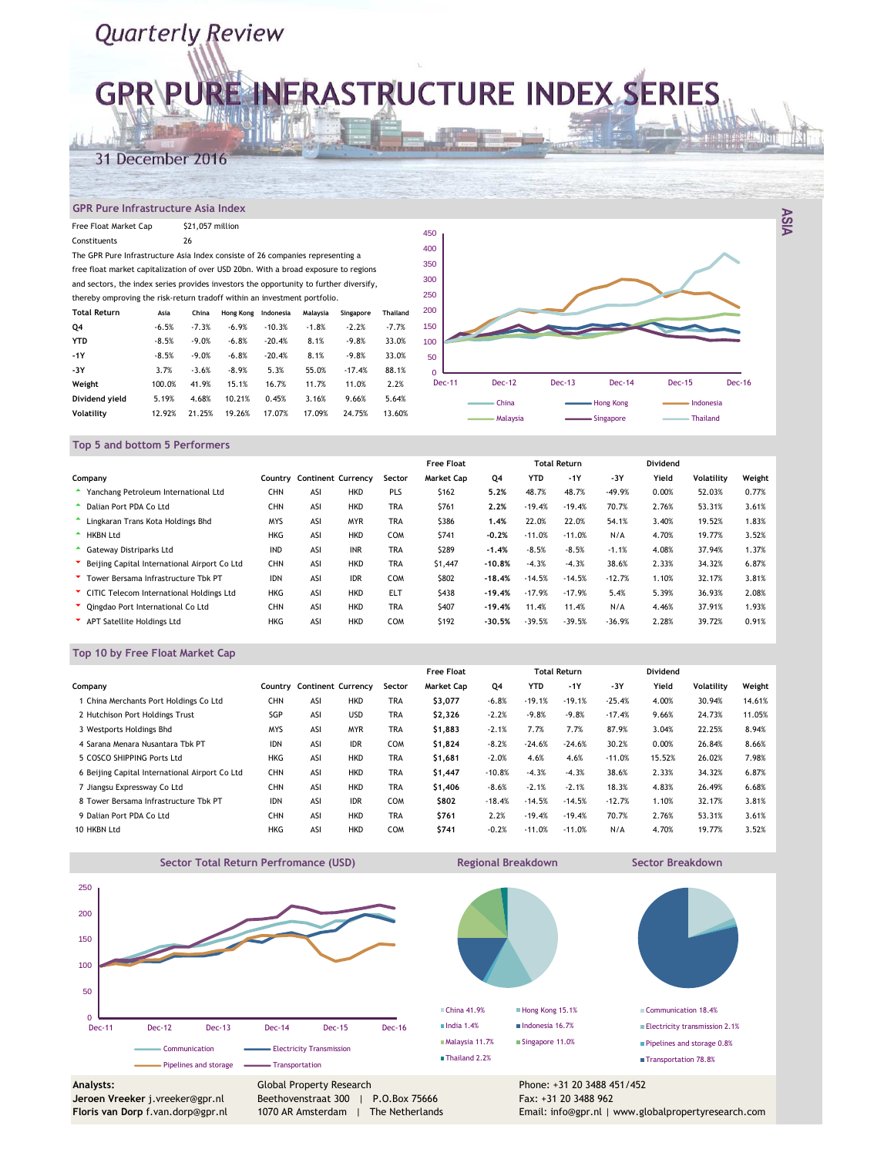# **GPR\PURE INFRASTRUCTURE INDEX SERIES**

### 31 December 2016

#### **GPR Pure Infrastructure Asia Index**

| Free Float Market Cap                                                                  |         | \$21,057 million |           |           |          |           |                 |   |
|----------------------------------------------------------------------------------------|---------|------------------|-----------|-----------|----------|-----------|-----------------|---|
| Constituents                                                                           |         | 26               |           |           |          |           |                 | 4 |
| The GPR Pure Infrastructure Asia Index consiste of 26 companies representing a         |         |                  |           |           |          |           |                 | 4 |
| free float market capitalization of over USD 20bn. With a broad exposure to regions    |         |                  |           |           |          |           |                 | 3 |
| and sectors, the index series provides investors the opportunity to further diversify, |         |                  |           |           |          |           |                 | 3 |
| thereby omproving the risk-return tradoff within an investment portfolio.              |         |                  |           |           |          |           |                 | 2 |
| <b>Total Return</b>                                                                    | Asia    | China            | Hong Kong | Indonesia | Malaysia | Singapore | <b>Thailand</b> | 2 |
| Q4                                                                                     | $-6.5%$ | $-7.3%$          | $-6.9%$   | $-10.3%$  | $-1.8%$  | $-2.2%$   | $-7.7%$         | 1 |
| <b>YTD</b>                                                                             | $-8.5%$ | $-9.0%$          | $-6.8%$   | $-20.4%$  | 8.1%     | $-9.8%$   | 33.0%           | 1 |
| $-1Y$                                                                                  | $-8.5%$ | $-9.0%$          | $-6.8%$   | $-20.4%$  | 8.1%     | $-9.8%$   | 33.0%           |   |
| -3Y                                                                                    | 3.7%    | $-3.6%$          | $-8.9%$   | 5.3%      | 55.0%    | $-17.4%$  | 88.1%           |   |
| Weight                                                                                 | 100.0%  | 41.9%            | 15.1%     | 16.7%     | 11.7%    | 11.0%     | 2.2%            |   |
| Dividend vield                                                                         | 5.19%   | 4.68%            | 10.21%    | 0.45%     | 3.16%    | 9.66%     | 5.64%           |   |
| <b>Volatility</b>                                                                      | 12.92%  | 21.25%           | 19.26%    | 17.07%    | 17.09%   | 24.75%    | 13.60%          |   |



**ASIA**

#### **Top 5 and bottom 5 Performers**

|                                                |            |                           |            |            | <b>Free Float</b> |          |            | <b>Total Return</b> |          | Dividend |                   |        |
|------------------------------------------------|------------|---------------------------|------------|------------|-------------------|----------|------------|---------------------|----------|----------|-------------------|--------|
| Company                                        | Country    | <b>Continent Currency</b> |            | Sector     | <b>Market Cap</b> | Q4       | <b>YTD</b> | $-1Y$               | $-3Y$    | Yield    | <b>Volatility</b> | Weight |
| Yanchang Petroleum International Ltd           | CHN        | ASI                       | <b>HKD</b> | PLS        | \$162             | 5.2%     | 48.7%      | 48.7%               | $-49.9%$ | 0.00%    | 52.03%            | 0.77%  |
| Dalian Port PDA Co Ltd                         | <b>CHN</b> | ASI                       | <b>HKD</b> | <b>TRA</b> | \$761             | 2.2%     | $-19.4%$   | $-19.4%$            | 70.7%    | 2.76%    | 53.31%            | 3.61%  |
| Lingkaran Trans Kota Holdings Bhd              | <b>MYS</b> | ASI                       | <b>MYR</b> | <b>TRA</b> | \$386             | 1.4%     | 22.0%      | 22.0%               | 54.1%    | 3.40%    | 19.52%            | 1.83%  |
| <b>HKBN Ltd</b>                                | <b>HKG</b> | ASI                       | <b>HKD</b> | <b>COM</b> | \$741             | $-0.2%$  | $-11.0%$   | $-11.0%$            | N/A      | 4.70%    | 19.77%            | 3.52%  |
| Gateway Distriparks Ltd                        | <b>IND</b> | ASI                       | <b>INR</b> | <b>TRA</b> | \$289             | $-1.4%$  | $-8.5%$    | $-8.5%$             | $-1.1%$  | 4.08%    | 37.94%            | 1.37%  |
| * Beijing Capital International Airport Co Ltd | CHN        | ASI                       | <b>HKD</b> | <b>TRA</b> | \$1,447           | $-10.8%$ | $-4.3%$    | $-4.3%$             | 38.6%    | 2.33%    | 34.32%            | 6.87%  |
| Tower Bersama Infrastructure Tbk PT            | <b>IDN</b> | ASI                       | <b>IDR</b> | <b>COM</b> | \$802             | $-18.4%$ | $-14.5%$   | $-14.5%$            | $-12.7%$ | 1.10%    | 32.17%            | 3.81%  |
| CITIC Telecom International Holdings Ltd       | <b>HKG</b> | ASI                       | <b>HKD</b> | <b>ELT</b> | \$438             | $-19.4%$ | $-17.9%$   | $-17.9%$            | 5.4%     | 5.39%    | 36.93%            | 2.08%  |
| Cingdao Port International Co Ltd              | <b>CHN</b> | ASI                       | <b>HKD</b> | <b>TRA</b> | \$407             | $-19.4%$ | 11.4%      | 11.4%               | N/A      | 4.46%    | 37.91%            | 1.93%  |
| APT Satellite Holdings Ltd                     | <b>HKG</b> | ASI                       | <b>HKD</b> | <b>COM</b> | \$192             | $-30.5%$ | $-39.5%$   | $-39.5%$            | $-36.9%$ | 2.28%    | 39.72%            | 0.91%  |

#### **Top 10 by Free Float Market Cap**

|                                                |            |     |                           |            | <b>Free Float</b> |          |            | <b>Total Return</b> |          | Dividend |                   |        |
|------------------------------------------------|------------|-----|---------------------------|------------|-------------------|----------|------------|---------------------|----------|----------|-------------------|--------|
| Company                                        | Country    |     | <b>Continent Currency</b> | Sector     | <b>Market Cap</b> | Q4       | <b>YTD</b> | $-1Y$               | $-3Y$    | Yield    | <b>Volatility</b> | Weight |
| 1 China Merchants Port Holdings Co Ltd         | <b>CHN</b> | ASI | <b>HKD</b>                | <b>TRA</b> | \$3,077           | $-6.8%$  | $-19.1%$   | $-19.1%$            | $-25.4%$ | 4.00%    | 30.94%            | 14.61% |
| 2 Hutchison Port Holdings Trust                | SGP        | ASI | <b>USD</b>                | <b>TRA</b> | \$2,326           | $-2.2%$  | $-9.8%$    | $-9.8%$             | $-17.4%$ | 9.66%    | 24.73%            | 11.05% |
| 3 Westports Holdings Bhd                       | <b>MYS</b> | ASI | <b>MYR</b>                | <b>TRA</b> | \$1,883           | $-2.1%$  | 7.7%       | 7.7%                | 87.9%    | 3.04%    | 22.25%            | 8.94%  |
| 4 Sarana Menara Nusantara Tbk PT               | <b>IDN</b> | ASI | <b>IDR</b>                | <b>COM</b> | \$1,824           | $-8.2%$  | $-24.6%$   | $-24.6%$            | 30.2%    | 0.00%    | 26.84%            | 8.66%  |
| 5 COSCO SHIPPING Ports Ltd                     | <b>HKG</b> | ASI | <b>HKD</b>                | <b>TRA</b> | \$1,681           | $-2.0%$  | 4.6%       | 4.6%                | $-11.0%$ | 15.52%   | 26.02%            | 7.98%  |
| 6 Beijing Capital International Airport Co Ltd | CHN        | ASI | <b>HKD</b>                | <b>TRA</b> | \$1,447           | $-10.8%$ | $-4.3%$    | $-4.3%$             | 38.6%    | 2.33%    | 34.32%            | 6.87%  |
| 7 Jiangsu Expressway Co Ltd                    | <b>CHN</b> | ASI | <b>HKD</b>                | <b>TRA</b> | \$1,406           | $-8.6%$  | $-2.1%$    | $-2.1%$             | 18.3%    | 4.83%    | 26.49%            | 6.68%  |
| 8 Tower Bersama Infrastructure Tbk PT          | <b>IDN</b> | ASI | <b>IDR</b>                | <b>COM</b> | \$802             | $-18.4%$ | $-14.5%$   | $-14.5%$            | $-12.7%$ | 1.10%    | 32.17%            | 3.81%  |
| 9 Dalian Port PDA Co Ltd                       | <b>CHN</b> | ASI | <b>HKD</b>                | <b>TRA</b> | \$761             | 2.2%     | $-19.4%$   | $-19.4%$            | 70.7%    | 2.76%    | 53.31%            | 3.61%  |
| 10 HKBN Ltd                                    | <b>HKG</b> | ASI | <b>HKD</b>                | COM        | \$741             | $-0.2%$  | $-11.0%$   | $-11.0%$            | N/A      | 4.70%    | 19.77%            | 3.52%  |

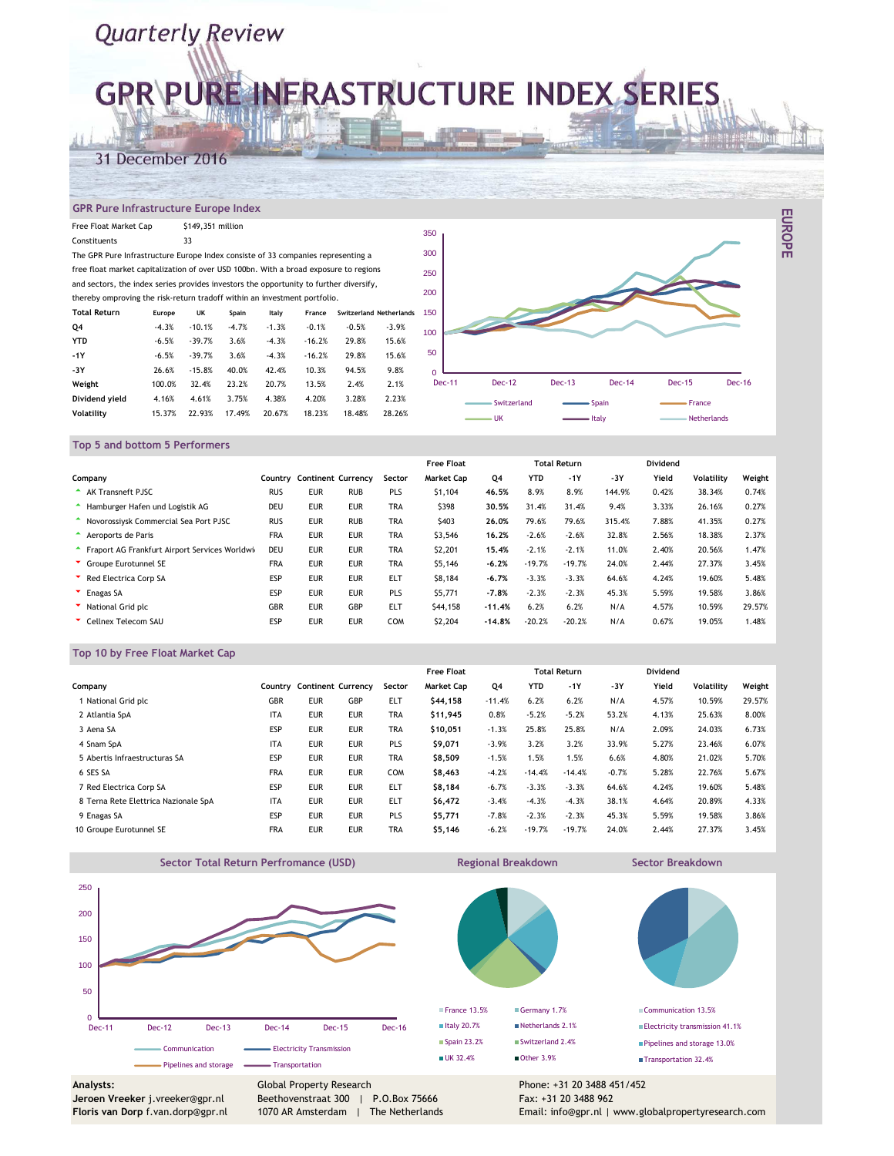# **GPR\PURE INFRASTRUCTURE INDEX SERIES**

### 31 December 2016

#### **GPR Pure Infrastructure Europe Index**

| Free Float Market Cap                                                                  |         | \$149,351 million |         |         |          |         |                         | 35 |
|----------------------------------------------------------------------------------------|---------|-------------------|---------|---------|----------|---------|-------------------------|----|
| Constituents                                                                           |         | 33                |         |         |          |         |                         |    |
| The GPR Pure Infrastructure Europe Index consiste of 33 companies representing a       |         |                   |         |         |          |         |                         | 30 |
| free float market capitalization of over USD 100bn. With a broad exposure to regions   |         |                   |         |         |          |         |                         | 25 |
| and sectors, the index series provides investors the opportunity to further diversify, |         |                   |         |         |          |         |                         |    |
| thereby omproving the risk-return tradoff within an investment portfolio.              |         |                   |         |         |          |         |                         | 20 |
| <b>Total Return</b>                                                                    | Europe  | UK                | Spain   | Italy   | France   |         | Switzerland Netherlands | 15 |
| Q4                                                                                     | $-4.3%$ | $-10.1%$          | $-4.7%$ | $-1.3%$ | $-0.1%$  | $-0.5%$ | $-3.9%$                 | 10 |
| <b>YTD</b>                                                                             | $-6.5%$ | $-39.7%$          | 3.6%    | $-4.3%$ | $-16.2%$ | 29.8%   | 15.6%                   |    |
| $-1Y$                                                                                  | $-6.5%$ | $-39.7%$          | 3.6%    | $-4.3%$ | $-16.2%$ | 29.8%   | 15.6%                   | ŧ  |
| -3Y                                                                                    | 26.6%   | $-15.8%$          | 40.0%   | 42.4%   | 10.3%    | 94.5%   | 9.8%                    |    |
| Weight                                                                                 | 100.0%  | 32.4%             | 23.2%   | 20.7%   | 13.5%    | 2.4%    | 2.1%                    |    |
| Dividend yield                                                                         | 4.16%   | 4.61%             | 3.75%   | 4.38%   | 4.20%    | 3.28%   | 2.23%                   |    |
| <b>Volatility</b>                                                                      | 15.37%  | 22.93%            | 17.49%  | 20.67%  | 18.23%   | 18.48%  | 28.26%                  |    |



**EUROPE**

#### **Top 5 and bottom 5 Performers**

|                                                |            |                           |            |            | <b>Free Float</b> |          |            | <b>Total Return</b> |        | Dividend |                   |        |
|------------------------------------------------|------------|---------------------------|------------|------------|-------------------|----------|------------|---------------------|--------|----------|-------------------|--------|
| Company                                        | Country    | <b>Continent Currency</b> |            | Sector     | <b>Market Cap</b> | Q4       | <b>YTD</b> | $-1Y$               | $-3Y$  | Yield    | <b>Volatility</b> | Weight |
| <b>AK Transneft PJSC</b>                       | <b>RUS</b> | <b>EUR</b>                | <b>RUB</b> | PLS        | \$1,104           | 46.5%    | 8.9%       | 8.9%                | 144.9% | 0.42%    | 38.34%            | 0.74%  |
| Hamburger Hafen und Logistik AG                | <b>DEU</b> | <b>EUR</b>                | <b>EUR</b> | <b>TRA</b> | \$398             | 30.5%    | 31.4%      | 31.4%               | 9.4%   | 3.33%    | 26.16%            | 0.27%  |
| Novorossivsk Commercial Sea Port PJSC          | <b>RUS</b> | <b>EUR</b>                | <b>RUB</b> | <b>TRA</b> | \$403             | 26.0%    | 79.6%      | 79.6%               | 315.4% | 7.88%    | 41.35%            | 0.27%  |
| Aeroports de Paris                             | <b>FRA</b> | <b>EUR</b>                | <b>EUR</b> | <b>TRA</b> | \$3,546           | 16.2%    | $-2.6%$    | $-2.6%$             | 32.8%  | 2.56%    | 18.38%            | 2.37%  |
| Fraport AG Frankfurt Airport Services Worldwig | DEU        | <b>EUR</b>                | <b>EUR</b> | <b>TRA</b> | \$2,201           | 15.4%    | $-2.1%$    | $-2.1%$             | 11.0%  | 2.40%    | 20.56%            | 1.47%  |
| Groupe Eurotunnel SE                           | <b>FRA</b> | <b>EUR</b>                | <b>EUR</b> | <b>TRA</b> | \$5,146           | $-6.2%$  | $-19.7%$   | $-19.7%$            | 24.0%  | 2.44%    | 27.37%            | 3.45%  |
| Red Electrica Corp SA                          | ESP        | <b>EUR</b>                | <b>EUR</b> | <b>ELT</b> | <b>S8.184</b>     | $-6.7%$  | $-3.3%$    | $-3.3%$             | 64.6%  | 4.24%    | 19.60%            | 5.48%  |
| <b>Enagas SA</b>                               | ESP        | <b>EUR</b>                | <b>EUR</b> | PLS        | \$5,771           | $-7.8%$  | $-2.3%$    | $-2.3%$             | 45.3%  | 5.59%    | 19.58%            | 3.86%  |
| National Grid plc                              | <b>GBR</b> | <b>EUR</b>                | GBP        | <b>ELT</b> | \$44,158          | $-11.4%$ | 6.2%       | 6.2%                | N/A    | 4.57%    | 10.59%            | 29.57% |
| Cellnex Telecom SAU                            | ESP        | <b>EUR</b>                | <b>EUR</b> | <b>COM</b> | \$2,204           | $-14.8%$ | $-20.2%$   | $-20.2%$            | N/A    | 0.67%    | 19.05%            | 1.48%  |

#### **Top 10 by Free Float Market Cap**

|                                      |            |                           |            |            | <b>Free Float</b> |          |            | <b>Total Return</b> |         | Dividend |                   |        |
|--------------------------------------|------------|---------------------------|------------|------------|-------------------|----------|------------|---------------------|---------|----------|-------------------|--------|
| Company                              | Countrv    | <b>Continent Currency</b> |            | Sector     | <b>Market Cap</b> | Q4       | <b>YTD</b> | $-1Y$               | $-3Y$   | Yield    | <b>Volatility</b> | Weight |
| National Grid plc                    | <b>GBR</b> | <b>EUR</b>                | GBP        | <b>ELT</b> | \$44,158          | $-11.4%$ | 6.2%       | 6.2%                | N/A     | 4.57%    | 10.59%            | 29.57% |
| 2 Atlantia SpA                       | <b>ITA</b> | <b>EUR</b>                | <b>EUR</b> | <b>TRA</b> | \$11,945          | 0.8%     | $-5.2%$    | $-5.2%$             | 53.2%   | 4.13%    | 25.63%            | 8.00%  |
| 3 Aena SA                            | ESP        | <b>EUR</b>                | <b>EUR</b> | <b>TRA</b> | \$10.051          | $-1.3%$  | 25.8%      | 25.8%               | N/A     | 2.09%    | 24.03%            | 6.73%  |
| 4 Snam SpA                           | <b>ITA</b> | <b>EUR</b>                | <b>EUR</b> | PLS        | \$9,071           | $-3.9%$  | 3.2%       | 3.2%                | 33.9%   | 5.27%    | 23.46%            | 6.07%  |
| 5 Abertis Infraestructuras SA        | ESP        | <b>EUR</b>                | <b>EUR</b> | <b>TRA</b> | \$8,509           | $-1.5%$  | 1.5%       | 1.5%                | 6.6%    | 4.80%    | 21.02%            | 5.70%  |
| 6 SES SA                             | <b>FRA</b> | <b>EUR</b>                | <b>EUR</b> | <b>COM</b> | \$8,463           | $-4.2%$  | $-14.4%$   | $-14.4%$            | $-0.7%$ | 5.28%    | 22.76%            | 5.67%  |
| 7 Red Electrica Corp SA              | ESP        | <b>EUR</b>                | <b>EUR</b> | ELT        | \$8,184           | $-6.7%$  | $-3.3%$    | $-3.3%$             | 64.6%   | 4.24%    | 19.60%            | 5.48%  |
| 8 Terna Rete Elettrica Nazionale SpA | <b>ITA</b> | <b>EUR</b>                | <b>EUR</b> | <b>ELT</b> | \$6,472           | $-3.4%$  | $-4.3%$    | $-4.3%$             | 38.1%   | 4.64%    | 20.89%            | 4.33%  |
| 9 Enagas SA                          | ESP        | <b>EUR</b>                | <b>EUR</b> | PLS        | \$5,771           | $-7.8%$  | $-2.3%$    | $-2.3%$             | 45.3%   | 5.59%    | 19.58%            | 3.86%  |
| 10 Groupe Eurotunnel SE              | <b>FRA</b> | <b>EUR</b>                | <b>EUR</b> | <b>TRA</b> | \$5,146           | $-6.2%$  | $-19.7%$   | $-19.7%$            | 24.0%   | 2.44%    | 27.37%            | 3.45%  |



**Floris van Dorp** f.van.dorp@gpr.nl

Beethovenstraat 300 | P.O.Box 75666 1070 AR Amsterdam | The Netherlands Fax: +31 20 3488 962

Email: info@gpr.nl | www.globalpropertyresearch.com